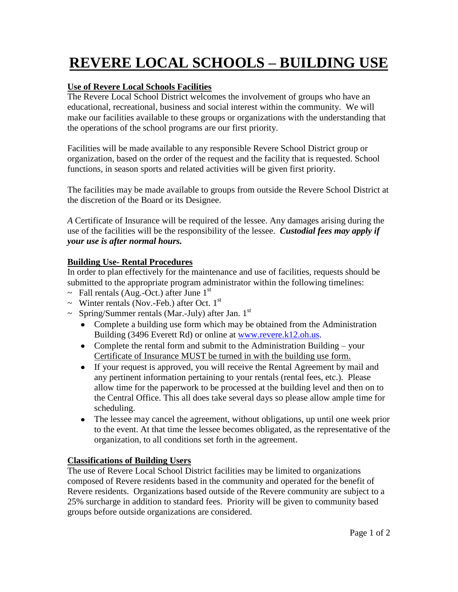# **REVERE LOCAL SCHOOLS – BUILDING USE**

### **Use of Revere Local Schools Facilities**

The Revere Local School District welcomes the involvement of groups who have an educational, recreational, business and social interest within the community. We will make our facilities available to these groups or organizations with the understanding that the operations of the school programs are our first priority.

Facilities will be made available to any responsible Revere School District group or organization, based on the order of the request and the facility that is requested. School functions, in season sports and related activities will be given first priority.

The facilities may be made available to groups from outside the Revere School District at the discretion of the Board or its Designee.

*A* Certificate of Insurance will be required of the lessee. Any damages arising during the use of the facilities will be the responsibility of the lessee. *Custodial fees may apply if your use is after normal hours.*

#### **Building Use- Rental Procedures**

In order to plan effectively for the maintenance and use of facilities, requests should be submitted to the appropriate program administrator within the following timelines:

- $\sim$  Fall rentals (Aug.-Oct.) after June 1<sup>st</sup>
- $\sim$  Winter rentals (Nov.-Feb.) after Oct. 1<sup>st</sup>
- $\sim$  Spring/Summer rentals (Mar.-July) after Jan. 1<sup>st</sup>
	- Complete a building use form which may be obtained from the Administration Building (3496 Everett Rd) or online at [www.revere.k12.oh.us.](http://www.revere.k12.oh.us/)
	- Complete the rental form and submit to the Administration Building your Certificate of Insurance MUST be turned in with the building use form.
	- If your request is approved, you will receive the Rental Agreement by mail and any pertinent information pertaining to your rentals (rental fees, etc.). Please allow time for the paperwork to be processed at the building level and then on to the Central Office. This all does take several days so please allow ample time for scheduling.
	- The lessee may cancel the agreement, without obligations, up until one week prior to the event. At that time the lessee becomes obligated, as the representative of the organization, to all conditions set forth in the agreement.

# **Classifications of Building Users**

The use of Revere Local School District facilities may be limited to organizations composed of Revere residents based in the community and operated for the benefit of Revere residents. Organizations based outside of the Revere community are subject to a 25% surcharge in addition to standard fees. Priority will be given to community based groups before outside organizations are considered.